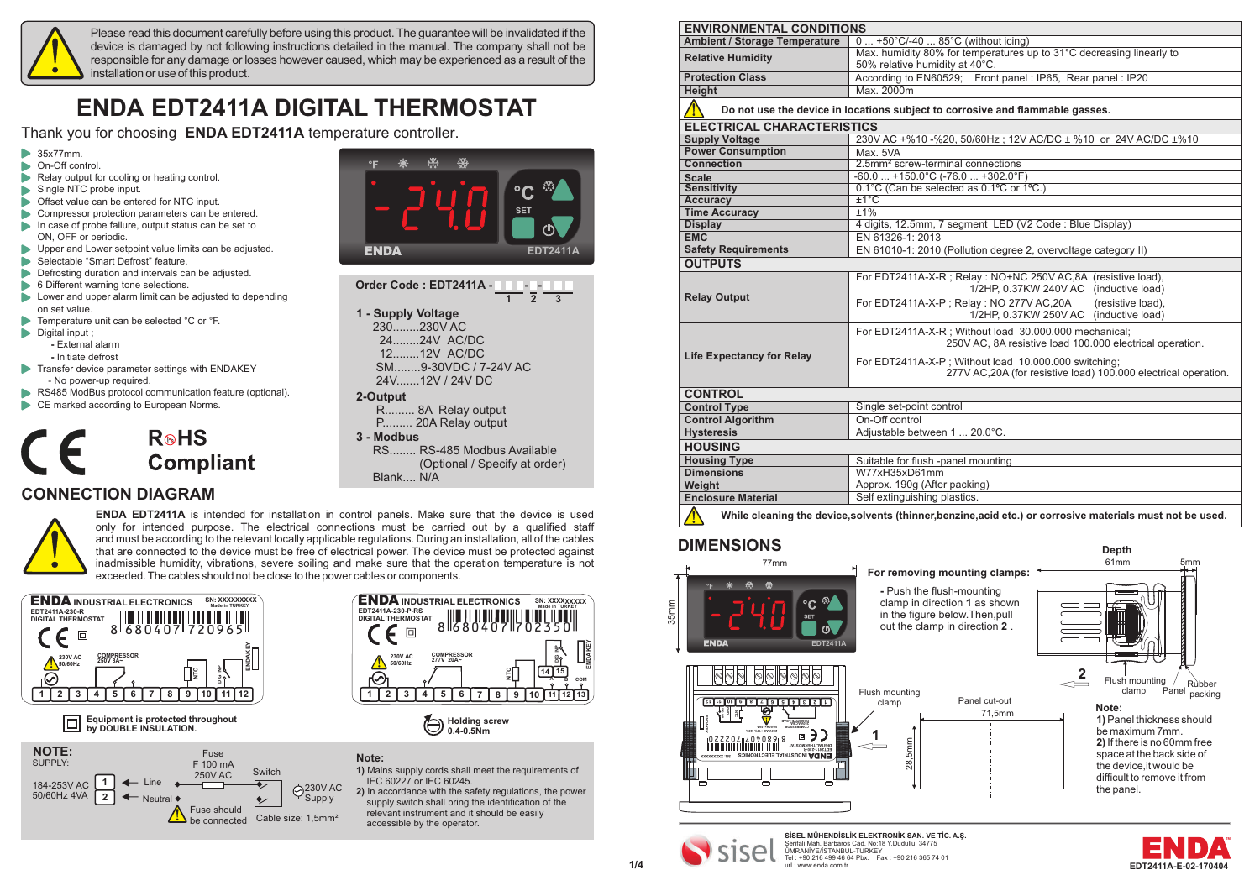

Please read this document carefully before using this product. The guarantee will be invalidated if the device is damaged by not following instructions detailed in the manual. The company shall not be responsible for any damage or losses however caused, which may be experienced as a result of the installation or use of this product.

# **ENDA EDT2411A DIGITAL THERMOSTAT**

Thank you for choosing **ENDA EDT2411A** temperature controller.

- $\triangleright$  35x77mm.
- **D** On-Off control.
- Relay output for cooling or heating control.
- Single NTC probe input.
- Offset value can be entered for NTC input.
- Compressor protection parameters can be entered.
- In case of probe failure, output status can be set to ON, OFF or periodic.
- Upper and Lower setpoint value limits can be adjusted.
- Selectable "Smart Defrost" feature.
- Defrosting duration and intervals can be adjusted.
- 6 Different warning tone selections.
- $\blacktriangleright$  Lower and upper alarm limit can be adjusted to depending on set value.
- Temperature unit can be selected °C or °F.  $\triangleright$  Digital input :
	- **-** External alarm
	- **-** Initiate defrost
- **Transfer device parameter settings with ENDAKEY**
- No power-up required. RS485 ModBus protocol communication feature (optional).
- 
- CE marked according to European Norms.

## $R \otimes H$ S **Compliant**

### **CONNECTION DIAGRAM**



**ENDA EDT2411A** is intended for installation in control panels. Make sure that the device is used only for intended purpose. The electrical connections must be carried out by a qualified staff and must be according to the relevant locally applicable regulations. During an installation, all of the cables that are connected to the device must be free of electrical power. The device must be protected against inadmissible humidity, vibrations, severe soiling and make sure that the operation temperature is not exceeded. The cables should not be close to the power cables or components.



**Equipment is protected throughout by** DOUBLE INSULATION.





|                    | 2 <sup>3</sup> |  |
|--------------------|----------------|--|
| 1 - Supply Voltage |                |  |
| 230230V AC         |                |  |

24........24V AC/DC 12........12V AC/DC SM........9-30VDC / 7-24V AC 24V.......12V / 24V DC

#### **2-Output**

R......... 8A Relay output P......... 20A Relay output

**3 - Modbus**

RS........ RS-485 Modbus Available (Optional / Specify at order) Blank.... N/A

**ENDA INDUSTRIAL ELECTRONICS SN: XXXXXXXXX EDT2411A-230-P-RS DIGITAL THERMOSTAT** 8 680407 7 02350 **Made in TURKEY**

向  $\epsilon$ **ENDAKEY** <u>ะ</u><br>¤<br>¤ **COMPRESSOR 230V AC 50/60Hz 277V 20A~ 14 15**  $\frac{1}{2}$  **B A COM 9 10 11 12 13 1 2 3 4 5 6 7 8**



**Note:**

**1)** Mains supply cords shall meet the requirements of IEC 60227 or IEC 60245.

**2)** In accordance with the safety regulations, the power supply switch shall bring the identification of the relevant instrument and it should be easily accessible by the operator.

| <b>ENVIRONMENTAL CONDITIONS</b>      |                                                                                                                         |  |  |
|--------------------------------------|-------------------------------------------------------------------------------------------------------------------------|--|--|
| <b>Ambient / Storage Temperature</b> | $0  +50^{\circ}C/-40  85^{\circ}C$ (without icing)                                                                      |  |  |
| <b>Relative Humidity</b>             | Max. humidity 80% for temperatures up to 31°C decreasing linearly to                                                    |  |  |
|                                      | 50% relative humidity at 40°C.                                                                                          |  |  |
| <b>Protection Class</b>              | According to EN60529; Front panel: IP65, Rear panel: IP20                                                               |  |  |
| <b>Height</b>                        | Max. 2000m                                                                                                              |  |  |
|                                      | Do not use the device in locations subject to corrosive and flammable gasses.                                           |  |  |
| <b>ELECTRICAL CHARACTERISTICS</b>    |                                                                                                                         |  |  |
| <b>Supply Voltage</b>                | 230V AC +%10 -%20, 50/60Hz; 12V AC/DC ± %10 or 24V AC/DC ±%10                                                           |  |  |
| <b>Power Consumption</b>             | Max. 5VA                                                                                                                |  |  |
| <b>Connection</b>                    | 2.5mm <sup>2</sup> screw-terminal connections                                                                           |  |  |
| <b>Scale</b>                         | $-60.0$ $+150.0^{\circ}$ C ( $-76.0$ $+302.0^{\circ}$ F)                                                                |  |  |
| <b>Sensitivity</b>                   | 0.1°C (Can be selected as 0.1°C or 1°C.)                                                                                |  |  |
| <b>Accuracy</b>                      | $±1^{\circ}$ C                                                                                                          |  |  |
| <b>Time Accuracy</b>                 | ±1%                                                                                                                     |  |  |
| <b>Display</b>                       | 4 digits, 12.5mm, 7 segment LED (V2 Code: Blue Display)                                                                 |  |  |
| <b>EMC</b>                           | EN 61326-1: 2013                                                                                                        |  |  |
| <b>Safety Requirements</b>           | EN 61010-1: 2010 (Pollution degree 2, overvoltage category II)                                                          |  |  |
| <b>OUTPUTS</b>                       |                                                                                                                         |  |  |
|                                      | For EDT2411A-X-R; Relay: NO+NC 250V AC,8A (resistive load),<br>1/2HP, 0.37KW 240V AC (inductive load)                   |  |  |
| <b>Relay Output</b>                  | For EDT2411A-X-P; Relay: NO 277V AC,20A<br>(resistive load),<br>1/2HP, 0.37KW 250V AC (inductive load)                  |  |  |
|                                      | For EDT2411A-X-R ; Without load 30.000.000 mechanical;<br>250V AC, 8A resistive load 100.000 electrical operation.      |  |  |
| <b>Life Expectancy for Relay</b>     | For EDT2411A-X-P; Without load 10.000.000 switching;<br>277V AC, 20A (for resistive load) 100.000 electrical operation. |  |  |
| <b>CONTROL</b>                       |                                                                                                                         |  |  |
| <b>Control Type</b>                  | Single set-point control                                                                                                |  |  |
| <b>Control Algorithm</b>             | On-Off control                                                                                                          |  |  |
| <b>Hysteresis</b>                    | Adjustable between 1  20.0°C.                                                                                           |  |  |
| <b>HOUSING</b>                       |                                                                                                                         |  |  |
| <b>Housing Type</b>                  | Suitable for flush -panel mounting                                                                                      |  |  |
| <b>Dimensions</b>                    | W77xH35xD61mm                                                                                                           |  |  |
| Weight                               | Approx. 190g (After packing)                                                                                            |  |  |
| <b>Enclosure Material</b>            | Self extinguishing plastics.                                                                                            |  |  |
|                                      | While cleaning the device, solvents (thinner, benzine, acid etc.) or corrosive materials must not be used.              |  |  |

## **DIMENSIONS**





**1/4 EDT2411A-E-02-1704 SİSEL MÜHENDİSLİK ELEKTRONİK SAN. VE TİC. A.Ş.** Serifali Mah. Barbaros Cad. No:18 Y.Dudullu 34775 ÜMRANİYE/İSTANBUL-TURKEY Sental Mon-Berbaros Cad. No:18 Y. Dudullu 34775<br>Cental Mon-Berbaros Cad. No:18 Y. Dudullu 34775<br>Tel : +90 216 499 46 64 Pbx. Fax : +90 216 365 74 01 url : www.enda.com.tr



**Depth**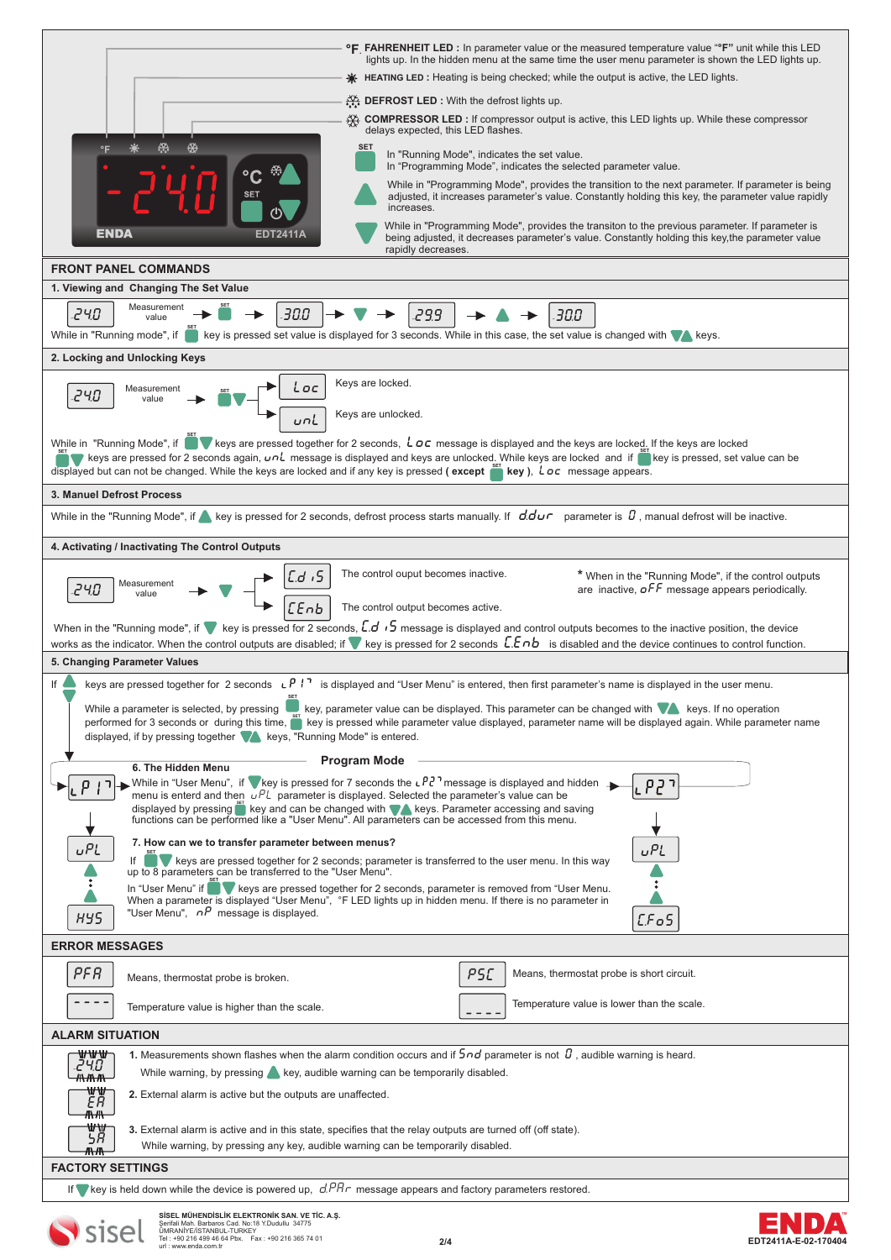| <b>°F</b> FAHRENHEIT LED : In parameter value or the measured temperature value "F" unit while this LED<br>lights up. In the hidden menu at the same time the user menu parameter is shown the LED lights up.                                                                                                                                                                                                                                                                                      |
|----------------------------------------------------------------------------------------------------------------------------------------------------------------------------------------------------------------------------------------------------------------------------------------------------------------------------------------------------------------------------------------------------------------------------------------------------------------------------------------------------|
| <b><math>\bigcirc</math> HEATING LED</b> : Heating is being checked; while the output is active, the LED lights.                                                                                                                                                                                                                                                                                                                                                                                   |
| <b>DEFROST LED</b> : With the defrost lights up.<br><b>XX COMPRESSOR LED</b> : If compressor output is active, this LED lights up. While these compressor                                                                                                                                                                                                                                                                                                                                          |
| delays expected, this LED flashes.                                                                                                                                                                                                                                                                                                                                                                                                                                                                 |
| <b>SET</b><br>In "Running Mode", indicates the set value.<br>In "Programming Mode", indicates the selected parameter value.                                                                                                                                                                                                                                                                                                                                                                        |
| While in "Programming Mode", provides the transition to the next parameter. If parameter is being<br>adjusted, it increases parameter's value. Constantly holding this key, the parameter value rapidly<br>increases.                                                                                                                                                                                                                                                                              |
| While in "Programming Mode", provides the transiton to the previous parameter. If parameter is<br>ENDA<br>being adjusted, it decreases parameter's value. Constantly holding this key, the parameter value<br>rapidly decreases.                                                                                                                                                                                                                                                                   |
| <b>FRONT PANEL COMMANDS</b>                                                                                                                                                                                                                                                                                                                                                                                                                                                                        |
| 1. Viewing and Changing The Set Value                                                                                                                                                                                                                                                                                                                                                                                                                                                              |
| Measurement<br>24.O<br>30.0<br>299<br>30.0<br>value                                                                                                                                                                                                                                                                                                                                                                                                                                                |
| While in "Running mode", if<br>key is pressed set value is displayed for 3 seconds. While in this case, the set value is changed with veys.                                                                                                                                                                                                                                                                                                                                                        |
| 2. Locking and Unlocking Keys                                                                                                                                                                                                                                                                                                                                                                                                                                                                      |
| Keys are locked.<br>OC<br>Measurement<br>24.O<br>value<br>Keys are unlocked.<br>unL                                                                                                                                                                                                                                                                                                                                                                                                                |
| While in "Running Mode", if weys are pressed together for 2 seconds, $\iota$ oc message is displayed and the keys are locked. If the keys are locked<br>Extraple keys are pressed for 2 seconds again, $u \circ l$ message is displayed and keys are unlocked. While keys are locked and if $\frac{1}{2}$ key is pressed, set value can be<br>displayed but can not be changed. While the keys are locked and if any key is pressed (except $\frac{1}{100}$ key), $\frac{1}{100}$ message appears. |
| 3. Manuel Defrost Process                                                                                                                                                                                                                                                                                                                                                                                                                                                                          |
| While in the "Running Mode", if sey is pressed for 2 seconds, defrost process starts manually. If $dd\sigma$ parameter is $B$ , manual defrost will be inactive.                                                                                                                                                                                                                                                                                                                                   |
| 4. Activating / Inactivating The Control Outputs                                                                                                                                                                                                                                                                                                                                                                                                                                                   |
| The control ouput becomes inactive.<br>* When in the "Running Mode", if the control outputs                                                                                                                                                                                                                                                                                                                                                                                                        |
| د، ق<br>Measurement<br>are inactive, $\sigma$ FF message appears periodically.<br>240.<br>value<br>EEnb<br>The control output becomes active.                                                                                                                                                                                                                                                                                                                                                      |
| When in the "Running mode", if we is pressed for 2 seconds, $\overline{L}$ , $\overline{S}$ message is displayed and control outputs becomes to the inactive position, the device<br>works as the indicator. When the control outputs are disabled; if wey is pressed for 2 seconds $LEnb$ is disabled and the device continues to control function.                                                                                                                                               |
| 5. Changing Parameter Values                                                                                                                                                                                                                                                                                                                                                                                                                                                                       |
| keys are pressed together for 2 seconds $\iota P$ <sup>1</sup> is displayed and "User Menu" is entered, then first parameter's name is displayed in the user menu.<br>lf<br>While a parameter is selected, by pressing key, parameter value can be displayed. This parameter can be changed with verse if no operation<br>performed for 3 seconds or during this time, it key is pressed while parameter value displayed, parameter name will be displayed again. While parameter name             |
| displayed, if by pressing together <b>A</b> keys, "Running Mode" is entered.                                                                                                                                                                                                                                                                                                                                                                                                                       |
| <b>Program Mode</b><br>6. The Hidden Menu<br>While in "User Menu", if whey is pressed for 7 seconds the $\iota$ P2 <sup>7</sup> message is displayed and hidden<br>menu is enterd and then $uPL$ parameter is displayed. Selected the parameter's value can be<br>displayed by pressing if key and can be changed with theys. Parameter accessing and saving<br>functions can be performed like a "User Menu". All parameters can be accessed from this menu.                                      |
| 7. How can we to transfer parameter between menus?<br><b>UPL</b><br>υPL<br>If If It keys are pressed together for 2 seconds; parameter is transferred to the user menu. In this way up to 8 parameters can be transferred to the "User Menu".                                                                                                                                                                                                                                                      |
| In "User Menu" if www.keys are pressed together for 2 seconds, parameter is removed from "User Menu.<br>When a parameter is displayed "User Menu", °F LED lights up in hidden menu. If there is no parameter in                                                                                                                                                                                                                                                                                    |
| "User Menu", $n^p$ message is displayed.<br>89S<br>EFGS                                                                                                                                                                                                                                                                                                                                                                                                                                            |
| <b>ERROR MESSAGES</b>                                                                                                                                                                                                                                                                                                                                                                                                                                                                              |
| PFR<br>PSC<br>Means, thermostat probe is short circuit.<br>Means, thermostat probe is broken.                                                                                                                                                                                                                                                                                                                                                                                                      |
| Temperature value is lower than the scale.<br>Temperature value is higher than the scale.                                                                                                                                                                                                                                                                                                                                                                                                          |
| <b>ALARM SITUATION</b>                                                                                                                                                                                                                                                                                                                                                                                                                                                                             |
| 1. Measurements shown flashes when the alarm condition occurs and if $5nd$ parameter is not $B$ , audible warning is heard.<br>₩₩₩<br>240                                                                                                                                                                                                                                                                                                                                                          |
| While warning, by pressing key, audible warning can be temporarily disabled.<br><del>//\//\//\</del><br>₩₩<br>ER<br>2. External alarm is active but the outputs are unaffected.                                                                                                                                                                                                                                                                                                                    |
| <del>/∖∧/\\</del><br>₩₩<br>3. External alarm is active and in this state, specifies that the relay outputs are turned off (off state).<br>58                                                                                                                                                                                                                                                                                                                                                       |
| While warning, by pressing any key, audible warning can be temporarily disabled.<br><del>//\//\</del>                                                                                                                                                                                                                                                                                                                                                                                              |
| <b>FACTORY SETTINGS</b><br>If vey is held down while the device is powered up, $d$ $P$ R $r$ message appears and factory parameters restored.                                                                                                                                                                                                                                                                                                                                                      |
|                                                                                                                                                                                                                                                                                                                                                                                                                                                                                                    |
| SISEL MÜHENDISLIK ELEKTRONIK SAN. VE TİC. A.Ş.<br>Şerifali Mah. Barbaros Cad. No:18 Y.Dudullu 34775<br>ÜMRANİYE/İSTANBUL-TURKEY<br>Tel : +90 216 499 46 64 Pbx. Fax : +90 216 365 74 01<br>2/4<br>EDT2411A-E-02-1704                                                                                                                                                                                                                                                                               |



 $\mathbf{r}$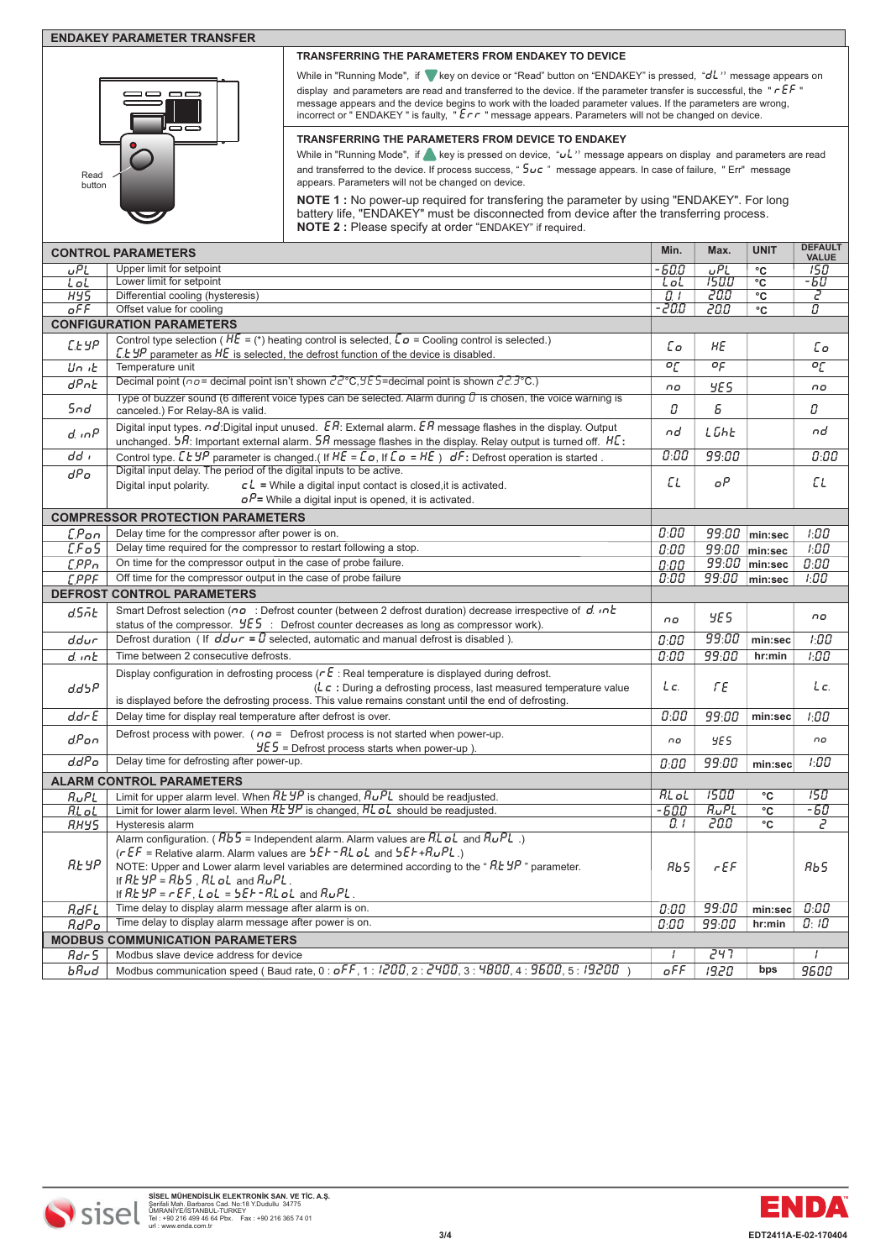### **ENDAKEY PARAMETER TRANSFER**



### **TRANSFERRING THE PARAMETERS FROM ENDAKEY TO DEVICE**

While in "Running Mode", if **V** key on device or "Read" button on "ENDAKEY" is pressed, "*dL*" message appears on display and parameters are read and transferred to the device. If the parameter transfer is successful, the " **rEf** " message appears and the device begins to work with the loaded parameter values. If the parameters are wrong, incorrect or " ENDAKEY " is faulty, " **Err** " message appears. Parameters will not be changed on device.

### **TRANSFERRING THE PARAMETERS FROM DEVICE TO ENDAKEY**

While in "Running Mode", if **A** key is pressed on device, "uL" message appears on display and parameters are read and transferred to the device. If process success, " **5uc** " message appears. In case of failure, " Err" message appears. Parameters will not be changed on device.

**NOTE 1** : No power-up required for transfering the parameter by using "ENDAKEY". For long battery life, "ENDAKEY" must be disconnected from device after the transferring process. **NOTE 2 :** Please specify at order "ENDAKEY" if required.

|                                        | <b>CONTROL PARAMETERS</b>                                                                                                                                                                                                                                                                                                              | Min.           | Max.                                         | <b>UNIT</b>           | <b>DEFAULT</b><br><b>VALUE</b>       |  |  |
|----------------------------------------|----------------------------------------------------------------------------------------------------------------------------------------------------------------------------------------------------------------------------------------------------------------------------------------------------------------------------------------|----------------|----------------------------------------------|-----------------------|--------------------------------------|--|--|
| uPL                                    | Upper limit for setpoint                                                                                                                                                                                                                                                                                                               | -600           | $\overline{\overline{\overline{\overline{L'$ | $^{\circ}$ C          | 150                                  |  |  |
| LoL                                    | Lower limit for setpoint                                                                                                                                                                                                                                                                                                               | LoL            | 150.0                                        | $^{\circ}$ C          | -50                                  |  |  |
| <b>HYS</b>                             | Differential cooling (hysteresis)                                                                                                                                                                                                                                                                                                      | 0 I            | 20.0                                         | °C                    | 2                                    |  |  |
| oFF                                    | Offset value for cooling                                                                                                                                                                                                                                                                                                               | -200           | 20.0                                         | °C                    | $\overline{\boldsymbol{\mathit{U}}}$ |  |  |
|                                        | <b>CONFIGURATION PARAMETERS</b>                                                                                                                                                                                                                                                                                                        |                |                                              |                       |                                      |  |  |
| СЕУР                                   | Control type selection ( $H\bar{E} =$ (*) heating control is selected, $\bar{L}\bar{\sigma}$ = Cooling control is selected.)<br>$\mathcal{L}$ E $\mathcal{L}$ parameter as $\mathcal{H}\mathcal{E}$ is selected, the defrost function of the device is disabled.                                                                       | Сο             | НE                                           |                       | £о                                   |  |  |
| Un it                                  | Temperature unit                                                                                                                                                                                                                                                                                                                       | $\overline{c}$ | οç                                           |                       | $\overline{c}$                       |  |  |
| <b>dPnE</b>                            | Decimal point ( $\alpha \sigma$ = decimal point isn't shown $\overline{c}$ $\overline{c}$ $\overline{c}$ , $\overline{c}$ = decimal point is shown $\overline{c}$ $\overline{c}$ $\overline{c}$ $\overline{c}$ $\overline{c}$ $\overline{c}$ $\overline{c}$ $\overline{c}$ $\overline{c}$ $\overline{c}$ $\overline{c}$ $\overline{c}$ | no             | YE S                                         |                       | no                                   |  |  |
| 5nd                                    | Type of buzzer sound (6 different voice types can be selected. Alarm during $\hat{U}$ is chosen, the voice warning is<br>canceled.) For Relay-8A is valid.                                                                                                                                                                             | 0              | Б                                            |                       | Ω                                    |  |  |
| $d$ . $nP$                             | Digital input types. $\sigma d$ :Digital input unused. $\mathcal{E}R$ : External alarm. $\mathcal{E}R$ message flashes in the display. Output<br>unchanged. $5R$ : Important external alarm. $5R$ message flashes in the display. Relay output is turned off. $H\mathcal{L}$ :                                                         | nd             | LGhE                                         |                       | nd                                   |  |  |
| dd i                                   | Control type. $LESP$ parameter is changed.(If $HE = Lo$ , If $Lo = HE$ ) $dF$ : Defrost operation is started.                                                                                                                                                                                                                          | 0:00           | 99:00                                        |                       | 0:00                                 |  |  |
| dPo                                    | Digital input delay. The period of the digital inputs to be active.                                                                                                                                                                                                                                                                    |                |                                              |                       |                                      |  |  |
|                                        | $cL$ = While a digital input contact is closed, it is activated.<br>Digital input polarity.                                                                                                                                                                                                                                            | ΕL             | oΡ                                           |                       | ЕL                                   |  |  |
|                                        | $oP$ = While a digital input is opened, it is activated.                                                                                                                                                                                                                                                                               |                |                                              |                       |                                      |  |  |
|                                        | <b>COMPRESSOR PROTECTION PARAMETERS</b>                                                                                                                                                                                                                                                                                                |                |                                              |                       |                                      |  |  |
| C.Pon                                  | Delay time for the compressor after power is on.                                                                                                                                                                                                                                                                                       | 0:00           | 99:00                                        | min:sec               | 1:00                                 |  |  |
| LFG5                                   | Delay time required for the compressor to restart following a stop.                                                                                                                                                                                                                                                                    | 0:00           |                                              | $99:00$ min:sec       | 1:00                                 |  |  |
| EPPn                                   | On time for the compressor output in the case of probe failure.                                                                                                                                                                                                                                                                        | 0:00           |                                              | 99:00 min:sec         | 0:00                                 |  |  |
| <b>CPPF</b>                            | Off time for the compressor output in the case of probe failure                                                                                                                                                                                                                                                                        | 0:00           | 99:00                                        | min:sec               | 1:00                                 |  |  |
|                                        | <b>DEFROST CONTROL PARAMETERS</b>                                                                                                                                                                                                                                                                                                      |                |                                              |                       |                                      |  |  |
| dSñE                                   | Smart Defrost selection ( $\sigma \sigma$ : Defrost counter (between 2 defrost duration) decrease irrespective of $d$ . $\sigma h$                                                                                                                                                                                                     |                |                                              |                       |                                      |  |  |
|                                        | status of the compressor. $4E5$ : Defrost counter decreases as long as compressor work).                                                                                                                                                                                                                                               | $\overline{0}$ | YE S                                         |                       | no                                   |  |  |
| ddur                                   | Defrost duration ( If $d \cdot d \cdot r = 0$ selected, automatic and manual defrost is disabled ).                                                                                                                                                                                                                                    | 0:00           | 99:00                                        | min:sec               | 1:00                                 |  |  |
| d. inb                                 | Time between 2 consecutive defrosts.                                                                                                                                                                                                                                                                                                   | 0:00           | 99:00                                        | hr:min                | 1:00                                 |  |  |
|                                        | Display configuration in defrosting process ( $\tau \mathbf{E}$ : Real temperature is displayed during defrost.                                                                                                                                                                                                                        |                |                                              |                       |                                      |  |  |
| dd5P                                   | ( $\mathcal{L} \subset \mathcal{L}$ : During a defrosting process, last measured temperature value<br>is displayed before the defrosting process. This value remains constant until the end of defrosting.                                                                                                                             | Lc.            | ΓE                                           |                       | Lc.                                  |  |  |
| $dd - E$                               | Delay time for display real temperature after defrost is over.                                                                                                                                                                                                                                                                         | 0:00           | 99:00                                        | min:sec               | 1:00                                 |  |  |
| d.Pon                                  | Defrost process with power. ( $n\sigma$ = Defrost process is not started when power-up.<br>$9E5$ = Defrost process starts when power-up).                                                                                                                                                                                              | no             | <b>YES</b>                                   |                       | $\Omega$                             |  |  |
| d.dPo                                  | Delay time for defrosting after power-up.                                                                                                                                                                                                                                                                                              | 0:00           | 99:00                                        | min:sec               | 1:00                                 |  |  |
|                                        | <b>ALARM CONTROL PARAMETERS</b>                                                                                                                                                                                                                                                                                                        |                |                                              |                       |                                      |  |  |
| RuPL                                   | Limit for upper alarm level. When $RESP$ is changed, $B\cup PL$ should be readjusted.                                                                                                                                                                                                                                                  | <b>RLoL</b>    | 1500                                         | °C                    | 150                                  |  |  |
| RL oL                                  | Limit for lower alarm level. When $RE5P$ is changed, $RLOL$ should be readjusted.                                                                                                                                                                                                                                                      | $-600$         | $R_UPL$                                      | $\overline{\text{c}}$ | -50                                  |  |  |
| RHYS                                   | Hysteresis alarm                                                                                                                                                                                                                                                                                                                       | 0. I           | 20.0                                         | °C                    | г                                    |  |  |
| <b>REYP</b>                            | Alarm configuration. ( $Bb5$ = Independent alarm. Alarm values are RL oL and RuPL.)<br>$(rEF =$ Relative alarm. Alarm values are $5EF - RL$ of and $5EF + RuPL$ .)                                                                                                                                                                     |                |                                              |                       |                                      |  |  |
|                                        | NOTE: Upper and Lower alarm level variables are determined according to the " $R$ E $\sharp P$ " parameter.<br>If $RESP = RbS$ , $RLoL$ and $RuPL$ .<br>If $RE$ yP = $r$ $EF$ , $L$ $oL$ = $5EF$ - $RL$ $oL$ and $RuPL$ .                                                                                                              | Rb5            | FEF                                          |                       | RЬS                                  |  |  |
| RdFL                                   | Time delay to display alarm message after alarm is on.                                                                                                                                                                                                                                                                                 | 0:00           | 99:00                                        | $min:$ sec            | 0:00                                 |  |  |
| $R_dP_o$                               | Time delay to display alarm message after power is on.                                                                                                                                                                                                                                                                                 | 0:00           | 99:00                                        | hr:min                | 0:10                                 |  |  |
| <b>MODBUS COMMUNICATION PARAMETERS</b> |                                                                                                                                                                                                                                                                                                                                        |                |                                              |                       |                                      |  |  |
| Adr 5                                  | Modbus slave device address for device                                                                                                                                                                                                                                                                                                 | $\prime$       | 247                                          |                       | $\prime$                             |  |  |
| bRud                                   | Modbus communication speed (Baud rate, 0: of F, 1: 1200, 2: 2400, 3: 4800, 4: 9500, 5: 19.200)                                                                                                                                                                                                                                         | oFF            | 19.20                                        | bps                   | 9600                                 |  |  |
|                                        |                                                                                                                                                                                                                                                                                                                                        |                |                                              |                       |                                      |  |  |